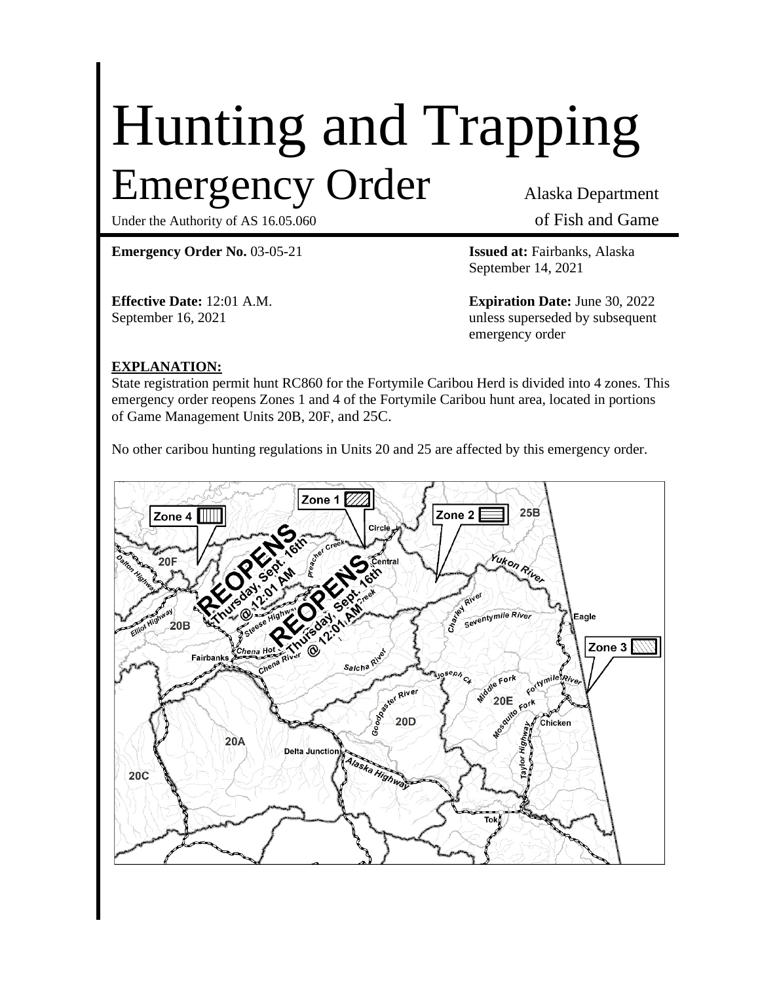# Hunting and Trapping Emergency Order Alaska Department

Under the Authority of AS 16.05.060 of Fish and Game

**Emergency Order No.** 03-05-21 **Issued at:** Fairbanks, Alaska

September 14, 2021

**Effective Date:** 12:01 A.M. **Expiration Date:** June 30, 2022 September 16, 2021 unless superseded by subsequent emergency order

### **EXPLANATION:**

State registration permit hunt RC860 for the Fortymile Caribou Herd is divided into 4 zones. This emergency order reopens Zones 1 and 4 of the Fortymile Caribou hunt area, located in portions of Game Management Units 20B, 20F, and 25C.

No other caribou hunting regulations in Units 20 and 25 are affected by this emergency order.

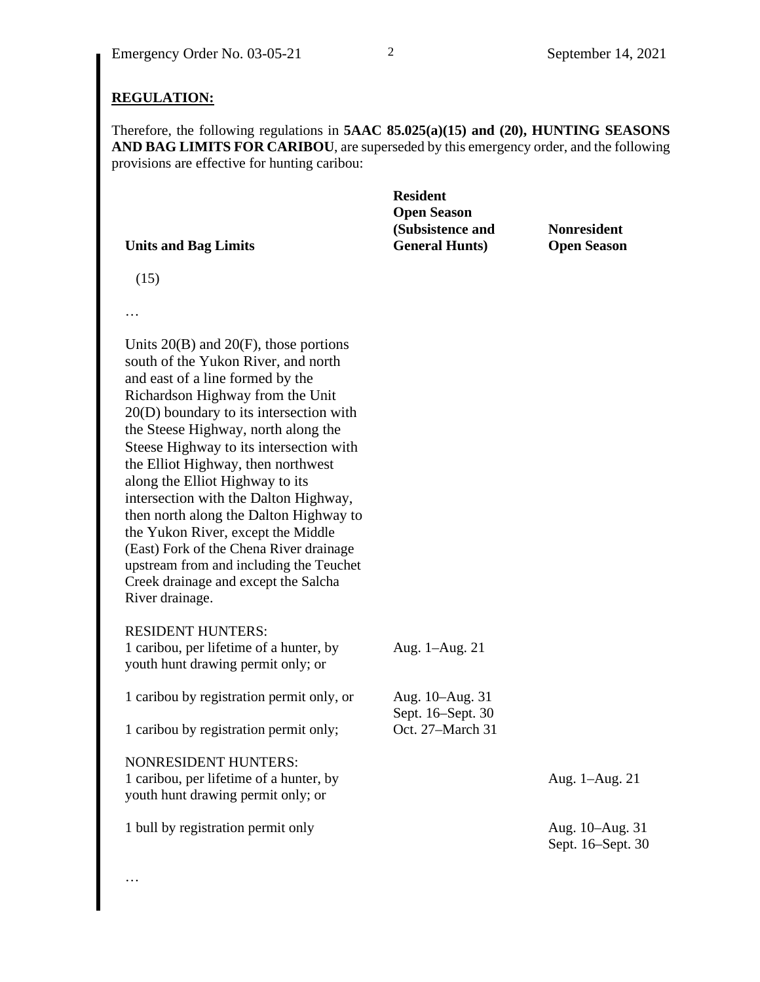#### **REGULATION:**

Therefore, the following regulations in **5AAC 85.025(a)(15) and (20), HUNTING SEASONS AND BAG LIMITS FOR CARIBOU**, are superseded by this emergency order, and the following provisions are effective for hunting caribou:

| <b>Resident</b>        |                    |
|------------------------|--------------------|
| <b>Open Season</b>     |                    |
| (Subsistence and       | <b>Nonresident</b> |
| <b>General Hunts</b> ) | <b>Open Season</b> |
|                        |                    |

(15)

…

Units 20(B) and 20(F), those portions south of the Yukon River, and north and east of a line formed by the Richardson Highway from the Unit 20(D) boundary to its intersection with the Steese Highway, north along the Steese Highway to its intersection with the Elliot Highway, then northwest along the Elliot Highway to its intersection with the Dalton Highway, then north along the Dalton Highway to the Yukon River, except the Middle (East) Fork of the Chena River drainage upstream from and including the Teuchet Creek drainage and except the Salcha River drainage.

RESIDENT HUNTERS:

…

1 caribou, per lifetime of a hunter, by youth hunt drawing permit only; or Aug. 1–Aug. 21 1 caribou by registration permit only, or Aug. 10–Aug. 31 Sept. 16–Sept. 30 1 caribou by registration permit only; Oct. 27–March 31 NONRESIDENT HUNTERS: 1 caribou, per lifetime of a hunter, by youth hunt drawing permit only; or Aug. 1–Aug. 21 1 bull by registration permit only Aug. 10–Aug. 31 Sept. 16–Sept. 30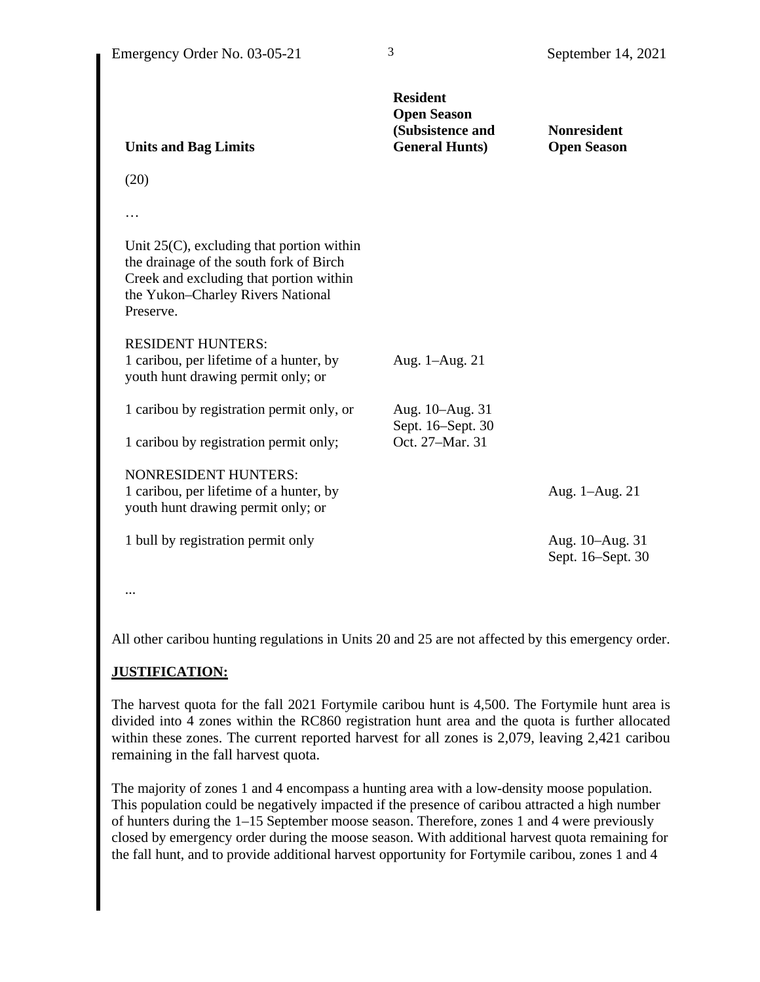| <b>Units and Bag Limits</b>                                                                                                                                                          | <b>Resident</b><br><b>Open Season</b><br>(Subsistence and<br><b>General Hunts)</b> | <b>Nonresident</b><br><b>Open Season</b> |
|--------------------------------------------------------------------------------------------------------------------------------------------------------------------------------------|------------------------------------------------------------------------------------|------------------------------------------|
| (20)                                                                                                                                                                                 |                                                                                    |                                          |
|                                                                                                                                                                                      |                                                                                    |                                          |
| Unit $25(C)$ , excluding that portion within<br>the drainage of the south fork of Birch<br>Creek and excluding that portion within<br>the Yukon-Charley Rivers National<br>Preserve. |                                                                                    |                                          |
| <b>RESIDENT HUNTERS:</b><br>1 caribou, per lifetime of a hunter, by<br>youth hunt drawing permit only; or                                                                            | Aug. 1–Aug. 21                                                                     |                                          |
| 1 caribou by registration permit only, or                                                                                                                                            | Aug. 10–Aug. 31<br>Sept. 16-Sept. 30                                               |                                          |
| 1 caribou by registration permit only;                                                                                                                                               | Oct. 27-Mar. 31                                                                    |                                          |
| <b>NONRESIDENT HUNTERS:</b><br>1 caribou, per lifetime of a hunter, by<br>youth hunt drawing permit only; or                                                                         |                                                                                    | Aug. 1–Aug. 21                           |
| 1 bull by registration permit only                                                                                                                                                   |                                                                                    | Aug. 10–Aug. 31<br>Sept. 16–Sept. 30     |

...

All other caribou hunting regulations in Units 20 and 25 are not affected by this emergency order.

## **JUSTIFICATION:**

The harvest quota for the fall 2021 Fortymile caribou hunt is 4,500. The Fortymile hunt area is divided into 4 zones within the RC860 registration hunt area and the quota is further allocated within these zones. The current reported harvest for all zones is 2,079, leaving 2,421 caribou remaining in the fall harvest quota.

The majority of zones 1 and 4 encompass a hunting area with a low-density moose population. This population could be negatively impacted if the presence of caribou attracted a high number of hunters during the 1–15 September moose season. Therefore, zones 1 and 4 were previously closed by emergency order during the moose season. With additional harvest quota remaining for the fall hunt, and to provide additional harvest opportunity for Fortymile caribou, zones 1 and 4